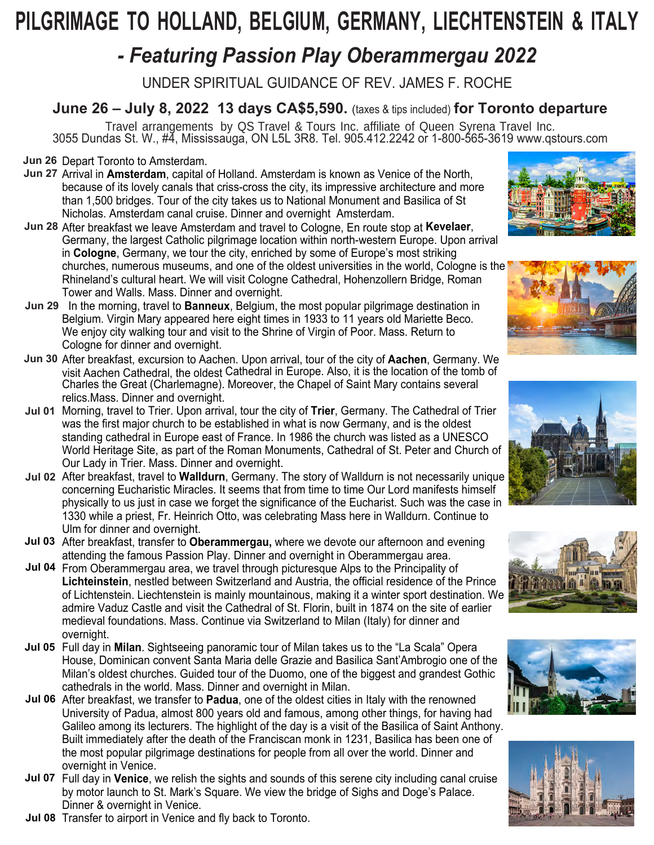# **PILGRIMAGE TO HOLLAND, BELGIUM, GERMANY, LIECHTENSTEIN & ITALY**

## *- Featuring Passion Play Oberammergau 2022*

UNDER SPIRITUAL GUIDANCE OF REV. JAMES F. ROCHE

**June 26 – July 8, 2022 13 days CA\$5,590.** (taxes & tips included) **for Toronto departure**

Travel arrangements by QS Travel & Tours Inc. affiliate of Queen Syrena Travel Inc. 3055 Dundas St. W., #4, Mississauga, ON L5L 3R8. Tel. 905.412.2242 or 1-800-565-3619 www.qstours.com

**Jun 26 Depart Toronto to Amsterdam.** 

- **Jun 27** Arrival in **Amsterdam**, capital of Holland. Amsterdam is known as Venice of the North, because of its lovely canals that criss-cross the city, its impressive architecture and more than 1,500 bridges. Tour of the city takes us to National Monument and Basilica of St Nicholas. Amsterdam canal cruise. Dinner and overnight Amsterdam.
- **Jun 28** After breakfast we leave Amsterdam and travel to Cologne, En route stop at **Kevelaer**, Germany, the largest Catholic pilgrimage location within north-western Europe. Upon arrival in **Cologne**, Germany, we tour the city, enriched by some of Europe's most striking churches, numerous museums, and one of the oldest universities in the world, Cologne is the Rhineland's cultural heart. We will visit Cologne Cathedral, Hohenzollern Bridge, Roman Tower and Walls. Mass. Dinner and overnight.















- **Jun 29** In the morning, travel to **Banneux**, Belgium, the most popular pilgrimage destination in Belgium. Virgin Mary appeared here eight times in 1933 to 11 years old Mariette Beco. We enjoy city walking tour and visit to the Shrine of Virgin of Poor. Mass. Return to Cologne for dinner and overnight.
- **Jun 30** After breakfast, excursion to Aachen. Upon arrival, tour of the city of **Aachen**, Germany. We visit Aachen Cathedral, the oldest Cathedral in Europe. Also, it is the location of the tomb of Charles the Great (Charlemagne). Moreover, the Chapel of Saint Mary contains several relics.Mass. Dinner and overnight.
- **Jul 01**  Morning, travel to Trier. Upon arrival, tour the city of **Trier**, Germany. The Cathedral of Trier was the first major church to be established in what is now Germany, and is the oldest standing cathedral in Europe east of France. In 1986 the church was listed as a UNESCO World Heritage Site, as part of the Roman Monuments, Cathedral of St. Peter and Church of Our Lady in Trier. Mass. Dinner and overnight.
- **Jul 02**  After breakfast, travel to **Walldurn**, Germany. The story of Walldurn is not necessarily unique concerning Eucharistic Miracles. It seems that from time to time Our Lord manifests himself physically to us just in case we forget the significance of the Eucharist. Such was the case in 1330 while a priest, Fr. Heinrich Otto, was celebrating Mass here in Walldurn. Continue to Ulm for dinner and overnight.
- **Jul 03** After breakfast, transfer to **Oberammergau,** where we devote our afternoon and evening attending the famous Passion Play. Dinner and overnight in Oberammergau area.
- **Jul 04** From Oberammergau area, we travel through picturesque Alps to the Principality of **Lichteinstein**, nestled between Switzerland and Austria, the official residence of the Prince of Lichtenstein. Liechtenstein is mainly mountainous, making it a winter sport destination. We admire Vaduz Castle and visit the Cathedral of St. Florin, built in 1874 on the site of earlier medieval foundations. Mass. Continue via Switzerland to Milan (Italy) for dinner and overnight.
- **Jul 05** Full day in **Milan**. Sightseeing panoramic tour of Milan takes us to the "La Scala" Opera House, Dominican convent Santa Maria delle Grazie and Basilica Sant'Ambrogio one of the Milan's oldest churches. Guided tour of the Duomo, one of the biggest and grandest Gothic cathedrals in the world. Mass. Dinner and overnight in Milan.
- **Jul 06** After breakfast, we transfer to **Padua**, one of the oldest cities in Italy with the renowned University of Padua, almost 800 years old and famous, among other things, for having had Galileo among its lecturers. The highlight of the day is a visit of the Basilica of Saint Anthony. Built immediately after the death of the Franciscan monk in 1231, Basilica has been one of the most popular pilgrimage destinations for people from all over the world. Dinner and overnight in Venice.
- **Jul 07** Full day in **Venice**, we relish the sights and sounds of this serene city including canal cruise by motor launch to St. Mark's Square. We view the bridge of Sighs and Doge's Palace. Dinner & overnight in Venice.
- **Jul 08** Transfer to airport in Venice and fly back to Toronto.